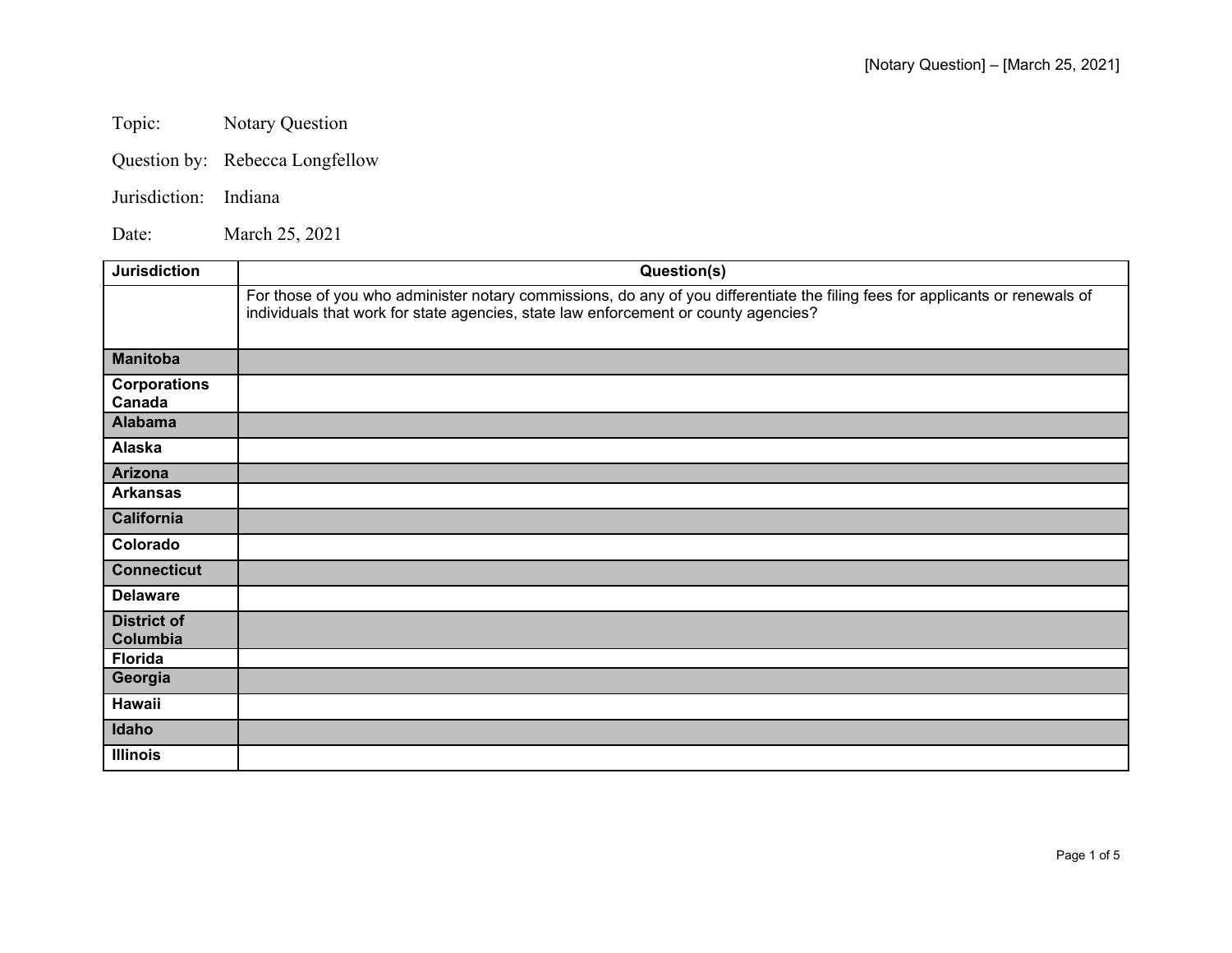Topic: Notary Question

Question by: Rebecca Longfellow

## Jurisdiction: Indiana

Date: March 25, 2021

| <b>Jurisdiction</b>            | Question(s)                                                                                                                                                                                                          |
|--------------------------------|----------------------------------------------------------------------------------------------------------------------------------------------------------------------------------------------------------------------|
|                                | For those of you who administer notary commissions, do any of you differentiate the filing fees for applicants or renewals of<br>individuals that work for state agencies, state law enforcement or county agencies? |
| <b>Manitoba</b>                |                                                                                                                                                                                                                      |
| <b>Corporations</b><br>Canada  |                                                                                                                                                                                                                      |
| <b>Alabama</b>                 |                                                                                                                                                                                                                      |
| Alaska                         |                                                                                                                                                                                                                      |
| Arizona                        |                                                                                                                                                                                                                      |
| <b>Arkansas</b>                |                                                                                                                                                                                                                      |
| California                     |                                                                                                                                                                                                                      |
| Colorado                       |                                                                                                                                                                                                                      |
| <b>Connecticut</b>             |                                                                                                                                                                                                                      |
| <b>Delaware</b>                |                                                                                                                                                                                                                      |
| <b>District of</b><br>Columbia |                                                                                                                                                                                                                      |
| <b>Florida</b>                 |                                                                                                                                                                                                                      |
| Georgia                        |                                                                                                                                                                                                                      |
| Hawaii                         |                                                                                                                                                                                                                      |
| Idaho                          |                                                                                                                                                                                                                      |
| <b>Illinois</b>                |                                                                                                                                                                                                                      |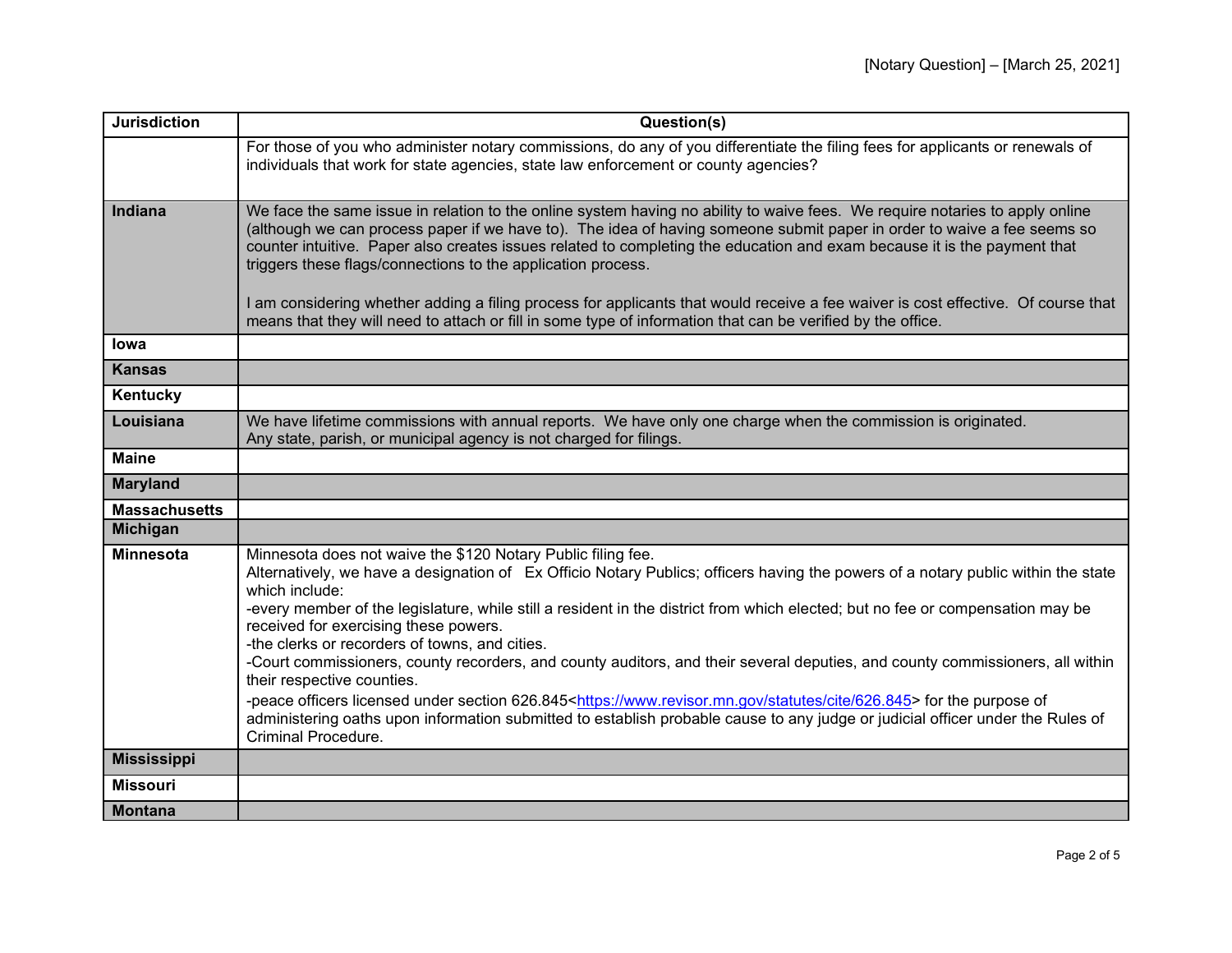| <b>Jurisdiction</b>  | Question(s)                                                                                                                                                                                                                                                                                                                                                                                                                                                                                                                                                                                                                                                                                                                                                                                                                                                                                                                   |
|----------------------|-------------------------------------------------------------------------------------------------------------------------------------------------------------------------------------------------------------------------------------------------------------------------------------------------------------------------------------------------------------------------------------------------------------------------------------------------------------------------------------------------------------------------------------------------------------------------------------------------------------------------------------------------------------------------------------------------------------------------------------------------------------------------------------------------------------------------------------------------------------------------------------------------------------------------------|
|                      | For those of you who administer notary commissions, do any of you differentiate the filing fees for applicants or renewals of<br>individuals that work for state agencies, state law enforcement or county agencies?                                                                                                                                                                                                                                                                                                                                                                                                                                                                                                                                                                                                                                                                                                          |
| Indiana              | We face the same issue in relation to the online system having no ability to waive fees. We require notaries to apply online<br>(although we can process paper if we have to). The idea of having someone submit paper in order to waive a fee seems so<br>counter intuitive. Paper also creates issues related to completing the education and exam because it is the payment that<br>triggers these flags/connections to the application process.<br>I am considering whether adding a filing process for applicants that would receive a fee waiver is cost effective. Of course that<br>means that they will need to attach or fill in some type of information that can be verified by the office.                                                                                                                                                                                                                       |
| <b>lowa</b>          |                                                                                                                                                                                                                                                                                                                                                                                                                                                                                                                                                                                                                                                                                                                                                                                                                                                                                                                               |
| <b>Kansas</b>        |                                                                                                                                                                                                                                                                                                                                                                                                                                                                                                                                                                                                                                                                                                                                                                                                                                                                                                                               |
| Kentucky             |                                                                                                                                                                                                                                                                                                                                                                                                                                                                                                                                                                                                                                                                                                                                                                                                                                                                                                                               |
| Louisiana            | We have lifetime commissions with annual reports. We have only one charge when the commission is originated.<br>Any state, parish, or municipal agency is not charged for filings.                                                                                                                                                                                                                                                                                                                                                                                                                                                                                                                                                                                                                                                                                                                                            |
| <b>Maine</b>         |                                                                                                                                                                                                                                                                                                                                                                                                                                                                                                                                                                                                                                                                                                                                                                                                                                                                                                                               |
| <b>Maryland</b>      |                                                                                                                                                                                                                                                                                                                                                                                                                                                                                                                                                                                                                                                                                                                                                                                                                                                                                                                               |
| <b>Massachusetts</b> |                                                                                                                                                                                                                                                                                                                                                                                                                                                                                                                                                                                                                                                                                                                                                                                                                                                                                                                               |
| Michigan             |                                                                                                                                                                                                                                                                                                                                                                                                                                                                                                                                                                                                                                                                                                                                                                                                                                                                                                                               |
| <b>Minnesota</b>     | Minnesota does not waive the \$120 Notary Public filing fee.<br>Alternatively, we have a designation of Ex Officio Notary Publics; officers having the powers of a notary public within the state<br>which include:<br>-every member of the legislature, while still a resident in the district from which elected; but no fee or compensation may be<br>received for exercising these powers.<br>-the clerks or recorders of towns, and cities.<br>-Court commissioners, county recorders, and county auditors, and their several deputies, and county commissioners, all within<br>their respective counties.<br>-peace officers licensed under section 626.845 <https: 626.845="" cite="" statutes="" www.revisor.mn.gov=""> for the purpose of<br/>administering oaths upon information submitted to establish probable cause to any judge or judicial officer under the Rules of<br/><b>Criminal Procedure.</b></https:> |
| <b>Mississippi</b>   |                                                                                                                                                                                                                                                                                                                                                                                                                                                                                                                                                                                                                                                                                                                                                                                                                                                                                                                               |
| <b>Missouri</b>      |                                                                                                                                                                                                                                                                                                                                                                                                                                                                                                                                                                                                                                                                                                                                                                                                                                                                                                                               |
| <b>Montana</b>       |                                                                                                                                                                                                                                                                                                                                                                                                                                                                                                                                                                                                                                                                                                                                                                                                                                                                                                                               |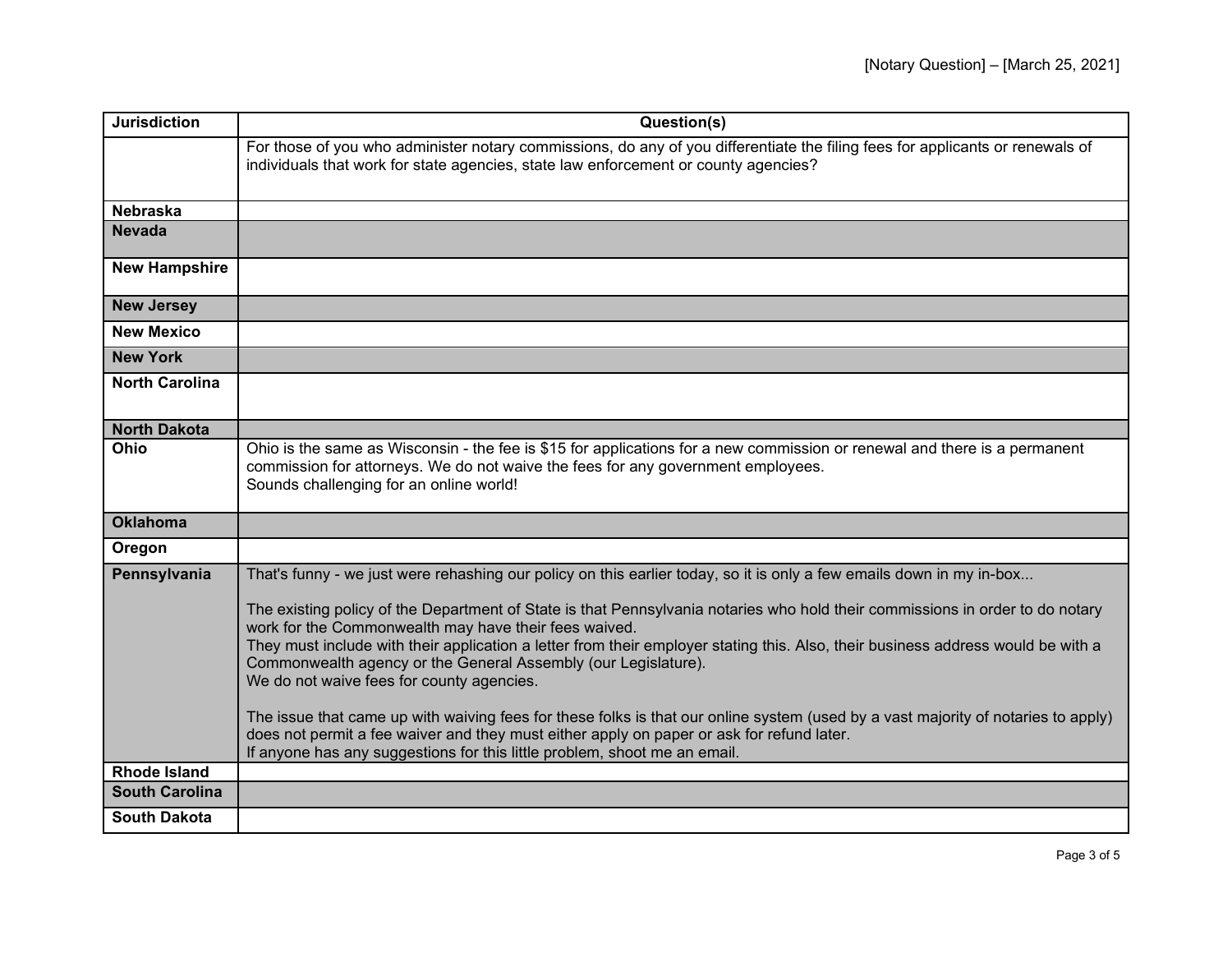| <b>Jurisdiction</b>   | Question(s)                                                                                                                                                                                                                                                                                                                                                                                                                                                                                                                                                                                                                                                                                                                                                                                                                                                                      |
|-----------------------|----------------------------------------------------------------------------------------------------------------------------------------------------------------------------------------------------------------------------------------------------------------------------------------------------------------------------------------------------------------------------------------------------------------------------------------------------------------------------------------------------------------------------------------------------------------------------------------------------------------------------------------------------------------------------------------------------------------------------------------------------------------------------------------------------------------------------------------------------------------------------------|
|                       | For those of you who administer notary commissions, do any of you differentiate the filing fees for applicants or renewals of<br>individuals that work for state agencies, state law enforcement or county agencies?                                                                                                                                                                                                                                                                                                                                                                                                                                                                                                                                                                                                                                                             |
| <b>Nebraska</b>       |                                                                                                                                                                                                                                                                                                                                                                                                                                                                                                                                                                                                                                                                                                                                                                                                                                                                                  |
| <b>Nevada</b>         |                                                                                                                                                                                                                                                                                                                                                                                                                                                                                                                                                                                                                                                                                                                                                                                                                                                                                  |
| <b>New Hampshire</b>  |                                                                                                                                                                                                                                                                                                                                                                                                                                                                                                                                                                                                                                                                                                                                                                                                                                                                                  |
| <b>New Jersey</b>     |                                                                                                                                                                                                                                                                                                                                                                                                                                                                                                                                                                                                                                                                                                                                                                                                                                                                                  |
| <b>New Mexico</b>     |                                                                                                                                                                                                                                                                                                                                                                                                                                                                                                                                                                                                                                                                                                                                                                                                                                                                                  |
| <b>New York</b>       |                                                                                                                                                                                                                                                                                                                                                                                                                                                                                                                                                                                                                                                                                                                                                                                                                                                                                  |
| <b>North Carolina</b> |                                                                                                                                                                                                                                                                                                                                                                                                                                                                                                                                                                                                                                                                                                                                                                                                                                                                                  |
| <b>North Dakota</b>   |                                                                                                                                                                                                                                                                                                                                                                                                                                                                                                                                                                                                                                                                                                                                                                                                                                                                                  |
| Ohio                  | Ohio is the same as Wisconsin - the fee is \$15 for applications for a new commission or renewal and there is a permanent<br>commission for attorneys. We do not waive the fees for any government employees.<br>Sounds challenging for an online world!                                                                                                                                                                                                                                                                                                                                                                                                                                                                                                                                                                                                                         |
| <b>Oklahoma</b>       |                                                                                                                                                                                                                                                                                                                                                                                                                                                                                                                                                                                                                                                                                                                                                                                                                                                                                  |
| Oregon                |                                                                                                                                                                                                                                                                                                                                                                                                                                                                                                                                                                                                                                                                                                                                                                                                                                                                                  |
| Pennsylvania          | That's funny - we just were rehashing our policy on this earlier today, so it is only a few emails down in my in-box<br>The existing policy of the Department of State is that Pennsylvania notaries who hold their commissions in order to do notary<br>work for the Commonwealth may have their fees waived.<br>They must include with their application a letter from their employer stating this. Also, their business address would be with a<br>Commonwealth agency or the General Assembly (our Legislature).<br>We do not waive fees for county agencies.<br>The issue that came up with waiving fees for these folks is that our online system (used by a vast majority of notaries to apply)<br>does not permit a fee waiver and they must either apply on paper or ask for refund later.<br>If anyone has any suggestions for this little problem, shoot me an email. |
| <b>Rhode Island</b>   |                                                                                                                                                                                                                                                                                                                                                                                                                                                                                                                                                                                                                                                                                                                                                                                                                                                                                  |
| <b>South Carolina</b> |                                                                                                                                                                                                                                                                                                                                                                                                                                                                                                                                                                                                                                                                                                                                                                                                                                                                                  |
| <b>South Dakota</b>   |                                                                                                                                                                                                                                                                                                                                                                                                                                                                                                                                                                                                                                                                                                                                                                                                                                                                                  |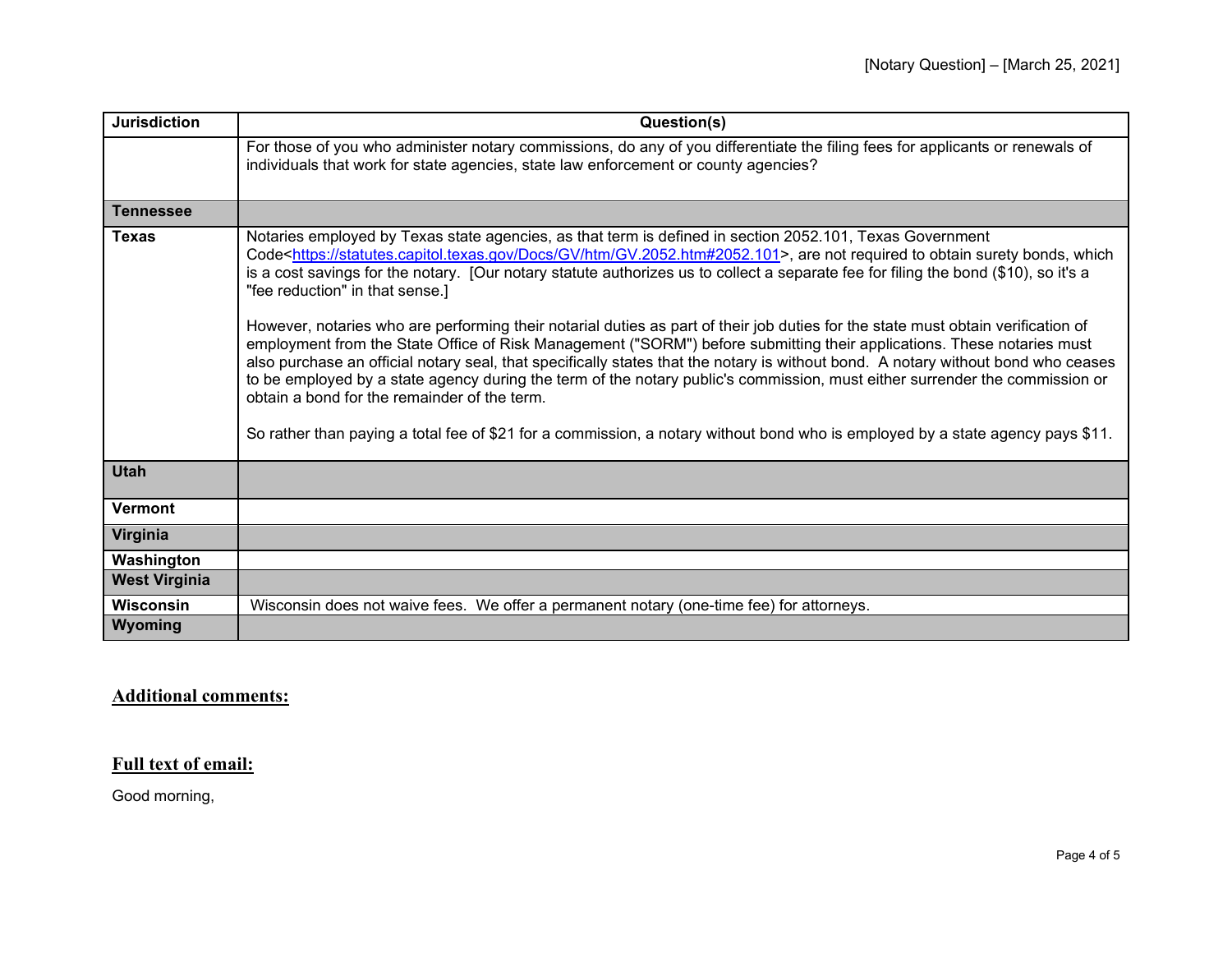| <b>Jurisdiction</b>  | Question(s)                                                                                                                                                                                                                                                                                                                                                                                                                                                                                                                                                                                                                                                                                                                                                                                                                                                                                                                                                                                                                                                                                                                                                         |
|----------------------|---------------------------------------------------------------------------------------------------------------------------------------------------------------------------------------------------------------------------------------------------------------------------------------------------------------------------------------------------------------------------------------------------------------------------------------------------------------------------------------------------------------------------------------------------------------------------------------------------------------------------------------------------------------------------------------------------------------------------------------------------------------------------------------------------------------------------------------------------------------------------------------------------------------------------------------------------------------------------------------------------------------------------------------------------------------------------------------------------------------------------------------------------------------------|
|                      | For those of you who administer notary commissions, do any of you differentiate the filing fees for applicants or renewals of<br>individuals that work for state agencies, state law enforcement or county agencies?                                                                                                                                                                                                                                                                                                                                                                                                                                                                                                                                                                                                                                                                                                                                                                                                                                                                                                                                                |
| <b>Tennessee</b>     |                                                                                                                                                                                                                                                                                                                                                                                                                                                                                                                                                                                                                                                                                                                                                                                                                                                                                                                                                                                                                                                                                                                                                                     |
| <b>Texas</b>         | Notaries employed by Texas state agencies, as that term is defined in section 2052.101, Texas Government<br>Code <https: docs="" gv="" gv.2052.htm#2052.101="" htm="" statutes.capitol.texas.gov="">, are not required to obtain surety bonds, which<br/>is a cost savings for the notary. [Our notary statute authorizes us to collect a separate fee for filing the bond (\$10), so it's a<br/>"fee reduction" in that sense.]<br/>However, notaries who are performing their notarial duties as part of their job duties for the state must obtain verification of<br/>employment from the State Office of Risk Management ("SORM") before submitting their applications. These notaries must<br/>also purchase an official notary seal, that specifically states that the notary is without bond. A notary without bond who ceases<br/>to be employed by a state agency during the term of the notary public's commission, must either surrender the commission or<br/>obtain a bond for the remainder of the term.<br/>So rather than paying a total fee of \$21 for a commission, a notary without bond who is employed by a state agency pays \$11.</https:> |
| <b>Utah</b>          |                                                                                                                                                                                                                                                                                                                                                                                                                                                                                                                                                                                                                                                                                                                                                                                                                                                                                                                                                                                                                                                                                                                                                                     |
| <b>Vermont</b>       |                                                                                                                                                                                                                                                                                                                                                                                                                                                                                                                                                                                                                                                                                                                                                                                                                                                                                                                                                                                                                                                                                                                                                                     |
| Virginia             |                                                                                                                                                                                                                                                                                                                                                                                                                                                                                                                                                                                                                                                                                                                                                                                                                                                                                                                                                                                                                                                                                                                                                                     |
| Washington           |                                                                                                                                                                                                                                                                                                                                                                                                                                                                                                                                                                                                                                                                                                                                                                                                                                                                                                                                                                                                                                                                                                                                                                     |
| <b>West Virginia</b> |                                                                                                                                                                                                                                                                                                                                                                                                                                                                                                                                                                                                                                                                                                                                                                                                                                                                                                                                                                                                                                                                                                                                                                     |
| <b>Wisconsin</b>     | Wisconsin does not waive fees. We offer a permanent notary (one-time fee) for attorneys.                                                                                                                                                                                                                                                                                                                                                                                                                                                                                                                                                                                                                                                                                                                                                                                                                                                                                                                                                                                                                                                                            |
| Wyoming              |                                                                                                                                                                                                                                                                                                                                                                                                                                                                                                                                                                                                                                                                                                                                                                                                                                                                                                                                                                                                                                                                                                                                                                     |

## **Additional comments:**

## **Full text of email:**

Good morning,